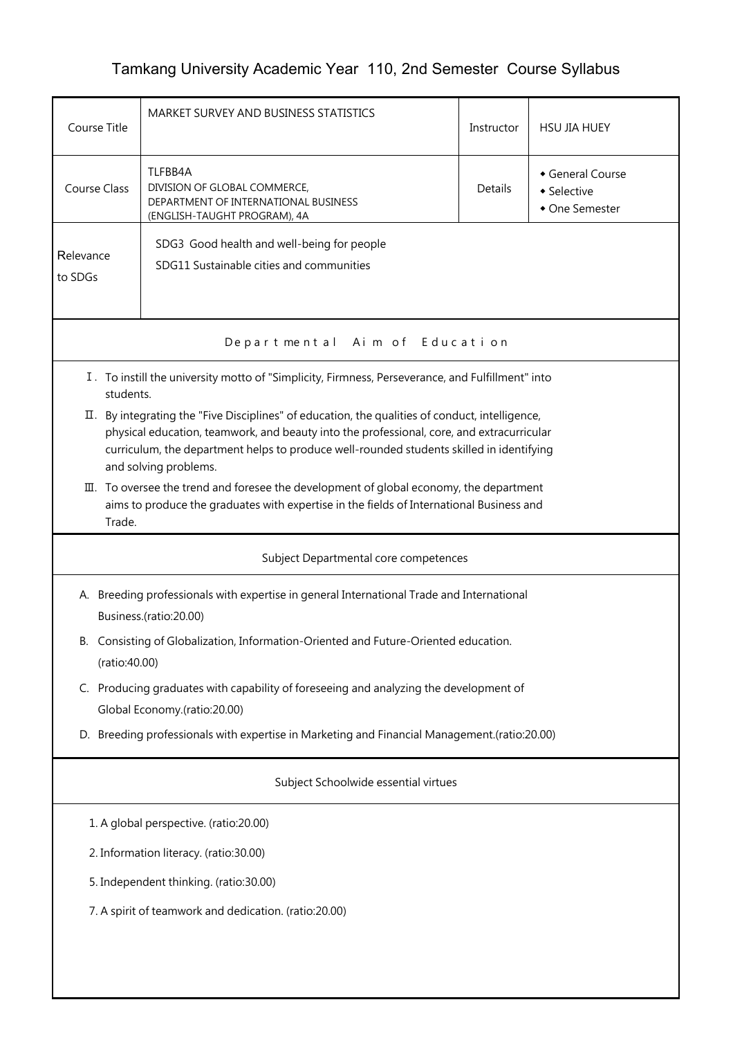## Tamkang University Academic Year 110, 2nd Semester Course Syllabus

| Course Title                                                                                                                                                                                                                                                                                                        | MARKET SURVEY AND BUSINESS STATISTICS                                                                           | Instructor | <b>HSU JIA HUEY</b>                             |  |  |  |
|---------------------------------------------------------------------------------------------------------------------------------------------------------------------------------------------------------------------------------------------------------------------------------------------------------------------|-----------------------------------------------------------------------------------------------------------------|------------|-------------------------------------------------|--|--|--|
| <b>Course Class</b>                                                                                                                                                                                                                                                                                                 | TLFBB4A<br>DIVISION OF GLOBAL COMMERCE,<br>DEPARTMENT OF INTERNATIONAL BUSINESS<br>(ENGLISH-TAUGHT PROGRAM), 4A | Details    | General Course<br>• Selective<br>• One Semester |  |  |  |
| Relevance<br>to SDGs                                                                                                                                                                                                                                                                                                | SDG3 Good health and well-being for people<br>SDG11 Sustainable cities and communities                          |            |                                                 |  |  |  |
| Aim of Education<br>Depart ment al                                                                                                                                                                                                                                                                                  |                                                                                                                 |            |                                                 |  |  |  |
| I. To instill the university motto of "Simplicity, Firmness, Perseverance, and Fulfillment" into<br>students.                                                                                                                                                                                                       |                                                                                                                 |            |                                                 |  |  |  |
| By integrating the "Five Disciplines" of education, the qualities of conduct, intelligence,<br>Ⅱ.<br>physical education, teamwork, and beauty into the professional, core, and extracurricular<br>curriculum, the department helps to produce well-rounded students skilled in identifying<br>and solving problems. |                                                                                                                 |            |                                                 |  |  |  |
| III. To oversee the trend and foresee the development of global economy, the department<br>aims to produce the graduates with expertise in the fields of International Business and<br>Trade.                                                                                                                       |                                                                                                                 |            |                                                 |  |  |  |
|                                                                                                                                                                                                                                                                                                                     | Subject Departmental core competences                                                                           |            |                                                 |  |  |  |
| A. Breeding professionals with expertise in general International Trade and International<br>Business.(ratio:20.00)                                                                                                                                                                                                 |                                                                                                                 |            |                                                 |  |  |  |
| B. Consisting of Globalization, Information-Oriented and Future-Oriented education.<br>(ratio:40.00)                                                                                                                                                                                                                |                                                                                                                 |            |                                                 |  |  |  |
| C. Producing graduates with capability of foreseeing and analyzing the development of<br>Global Economy.(ratio:20.00)                                                                                                                                                                                               |                                                                                                                 |            |                                                 |  |  |  |
| D. Breeding professionals with expertise in Marketing and Financial Management.(ratio:20.00)                                                                                                                                                                                                                        |                                                                                                                 |            |                                                 |  |  |  |
| Subject Schoolwide essential virtues                                                                                                                                                                                                                                                                                |                                                                                                                 |            |                                                 |  |  |  |
| 1. A global perspective. (ratio:20.00)                                                                                                                                                                                                                                                                              |                                                                                                                 |            |                                                 |  |  |  |
| 2. Information literacy. (ratio:30.00)                                                                                                                                                                                                                                                                              |                                                                                                                 |            |                                                 |  |  |  |
| 5. Independent thinking. (ratio:30.00)                                                                                                                                                                                                                                                                              |                                                                                                                 |            |                                                 |  |  |  |
| 7. A spirit of teamwork and dedication. (ratio:20.00)                                                                                                                                                                                                                                                               |                                                                                                                 |            |                                                 |  |  |  |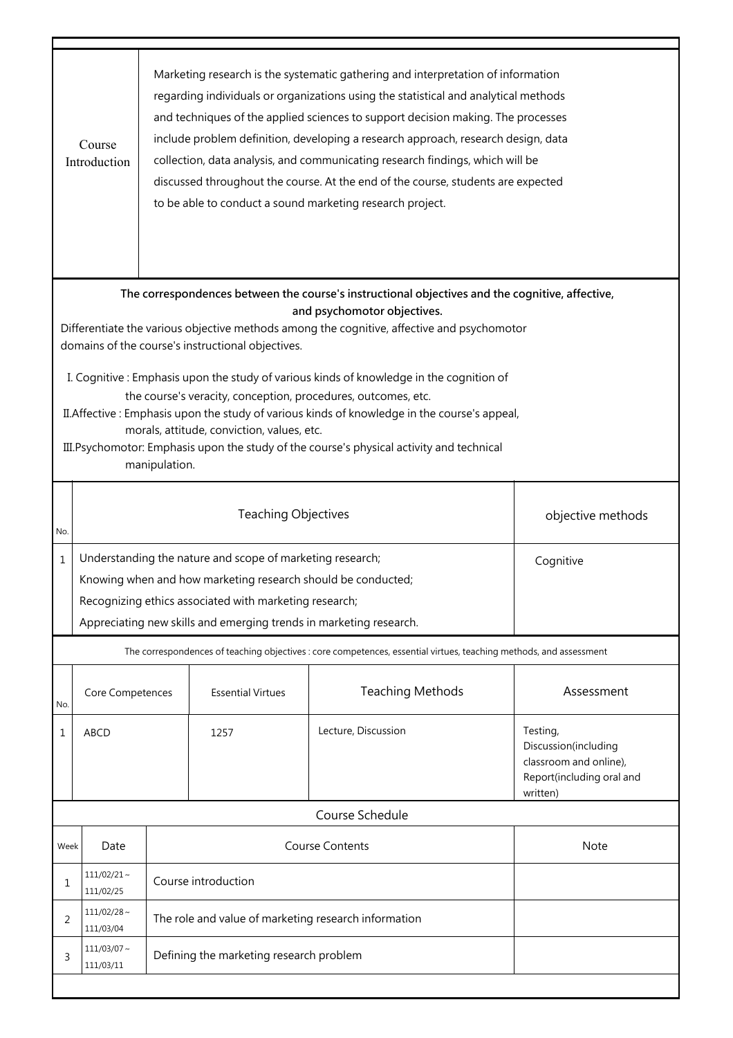|                                                                                                                                                                                                                                                                                                                                                                                                                                                                                                                                                                                                                                                                                                           | Marketing research is the systematic gathering and interpretation of information<br>regarding individuals or organizations using the statistical and analytical methods<br>and techniques of the applied sciences to support decision making. The processes<br>include problem definition, developing a research approach, research design, data<br>Course<br>collection, data analysis, and communicating research findings, which will be<br>Introduction<br>discussed throughout the course. At the end of the course, students are expected<br>to be able to conduct a sound marketing research project. |                                                                                                                                                                                                                                                                        |                          |                                                                                                                    |                                                                                                     |  |  |  |
|-----------------------------------------------------------------------------------------------------------------------------------------------------------------------------------------------------------------------------------------------------------------------------------------------------------------------------------------------------------------------------------------------------------------------------------------------------------------------------------------------------------------------------------------------------------------------------------------------------------------------------------------------------------------------------------------------------------|--------------------------------------------------------------------------------------------------------------------------------------------------------------------------------------------------------------------------------------------------------------------------------------------------------------------------------------------------------------------------------------------------------------------------------------------------------------------------------------------------------------------------------------------------------------------------------------------------------------|------------------------------------------------------------------------------------------------------------------------------------------------------------------------------------------------------------------------------------------------------------------------|--------------------------|--------------------------------------------------------------------------------------------------------------------|-----------------------------------------------------------------------------------------------------|--|--|--|
| The correspondences between the course's instructional objectives and the cognitive, affective,<br>and psychomotor objectives.<br>Differentiate the various objective methods among the cognitive, affective and psychomotor<br>domains of the course's instructional objectives.<br>I. Cognitive: Emphasis upon the study of various kinds of knowledge in the cognition of<br>the course's veracity, conception, procedures, outcomes, etc.<br>II. Affective: Emphasis upon the study of various kinds of knowledge in the course's appeal,<br>morals, attitude, conviction, values, etc.<br>III. Psychomotor: Emphasis upon the study of the course's physical activity and technical<br>manipulation. |                                                                                                                                                                                                                                                                                                                                                                                                                                                                                                                                                                                                              |                                                                                                                                                                                                                                                                        |                          |                                                                                                                    |                                                                                                     |  |  |  |
| No.                                                                                                                                                                                                                                                                                                                                                                                                                                                                                                                                                                                                                                                                                                       |                                                                                                                                                                                                                                                                                                                                                                                                                                                                                                                                                                                                              | <b>Teaching Objectives</b><br>objective methods                                                                                                                                                                                                                        |                          |                                                                                                                    |                                                                                                     |  |  |  |
| $\mathbf{1}$                                                                                                                                                                                                                                                                                                                                                                                                                                                                                                                                                                                                                                                                                              |                                                                                                                                                                                                                                                                                                                                                                                                                                                                                                                                                                                                              | Understanding the nature and scope of marketing research;<br>Cognitive<br>Knowing when and how marketing research should be conducted;<br>Recognizing ethics associated with marketing research;<br>Appreciating new skills and emerging trends in marketing research. |                          |                                                                                                                    |                                                                                                     |  |  |  |
|                                                                                                                                                                                                                                                                                                                                                                                                                                                                                                                                                                                                                                                                                                           |                                                                                                                                                                                                                                                                                                                                                                                                                                                                                                                                                                                                              |                                                                                                                                                                                                                                                                        |                          | The correspondences of teaching objectives : core competences, essential virtues, teaching methods, and assessment |                                                                                                     |  |  |  |
| No.                                                                                                                                                                                                                                                                                                                                                                                                                                                                                                                                                                                                                                                                                                       | Core Competences                                                                                                                                                                                                                                                                                                                                                                                                                                                                                                                                                                                             |                                                                                                                                                                                                                                                                        | <b>Essential Virtues</b> | <b>Teaching Methods</b>                                                                                            | Assessment                                                                                          |  |  |  |
| 1                                                                                                                                                                                                                                                                                                                                                                                                                                                                                                                                                                                                                                                                                                         | <b>ABCD</b>                                                                                                                                                                                                                                                                                                                                                                                                                                                                                                                                                                                                  |                                                                                                                                                                                                                                                                        | 1257                     | Lecture, Discussion                                                                                                | Testing,<br>Discussion(including<br>classroom and online),<br>Report(including oral and<br>written) |  |  |  |
|                                                                                                                                                                                                                                                                                                                                                                                                                                                                                                                                                                                                                                                                                                           |                                                                                                                                                                                                                                                                                                                                                                                                                                                                                                                                                                                                              |                                                                                                                                                                                                                                                                        |                          | Course Schedule                                                                                                    |                                                                                                     |  |  |  |
| Week                                                                                                                                                                                                                                                                                                                                                                                                                                                                                                                                                                                                                                                                                                      | Date                                                                                                                                                                                                                                                                                                                                                                                                                                                                                                                                                                                                         |                                                                                                                                                                                                                                                                        |                          | <b>Course Contents</b>                                                                                             | <b>Note</b>                                                                                         |  |  |  |
| 1                                                                                                                                                                                                                                                                                                                                                                                                                                                                                                                                                                                                                                                                                                         | $111/02/21$ ~<br>111/02/25                                                                                                                                                                                                                                                                                                                                                                                                                                                                                                                                                                                   | Course introduction                                                                                                                                                                                                                                                    |                          |                                                                                                                    |                                                                                                     |  |  |  |
| 2                                                                                                                                                                                                                                                                                                                                                                                                                                                                                                                                                                                                                                                                                                         | $111/02/28$ ~<br>111/03/04                                                                                                                                                                                                                                                                                                                                                                                                                                                                                                                                                                                   | The role and value of marketing research information                                                                                                                                                                                                                   |                          |                                                                                                                    |                                                                                                     |  |  |  |
| 3                                                                                                                                                                                                                                                                                                                                                                                                                                                                                                                                                                                                                                                                                                         | $111/03/07 \sim$<br>111/03/11                                                                                                                                                                                                                                                                                                                                                                                                                                                                                                                                                                                | Defining the marketing research problem                                                                                                                                                                                                                                |                          |                                                                                                                    |                                                                                                     |  |  |  |
|                                                                                                                                                                                                                                                                                                                                                                                                                                                                                                                                                                                                                                                                                                           |                                                                                                                                                                                                                                                                                                                                                                                                                                                                                                                                                                                                              |                                                                                                                                                                                                                                                                        |                          |                                                                                                                    |                                                                                                     |  |  |  |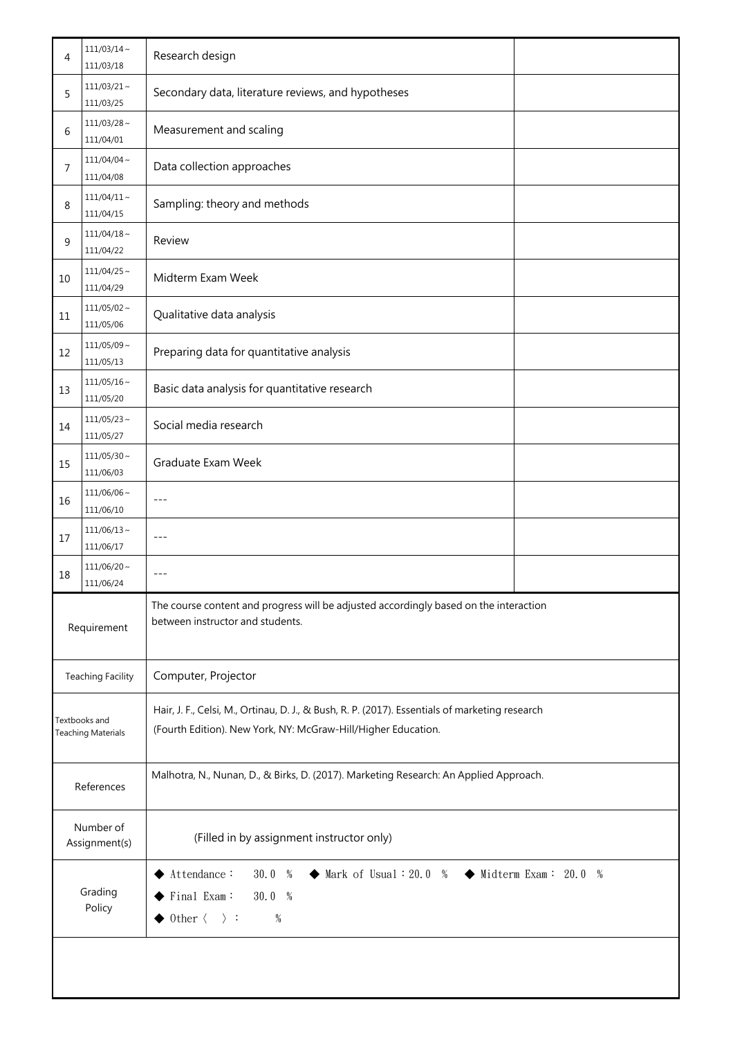| 4                                          | $111/03/14$ ~<br>111/03/18    | Research design                                                                                                                                                   |  |  |
|--------------------------------------------|-------------------------------|-------------------------------------------------------------------------------------------------------------------------------------------------------------------|--|--|
| 5                                          | $111/03/21$ ~<br>111/03/25    | Secondary data, literature reviews, and hypotheses                                                                                                                |  |  |
| 6                                          | $111/03/28$ ~<br>111/04/01    | Measurement and scaling                                                                                                                                           |  |  |
| 7                                          | $111/04/04 \sim$<br>111/04/08 | Data collection approaches                                                                                                                                        |  |  |
| 8                                          | $111/04/11$ ~<br>111/04/15    | Sampling: theory and methods                                                                                                                                      |  |  |
| 9                                          | $111/04/18$ ~<br>111/04/22    | Review                                                                                                                                                            |  |  |
| 10                                         | $111/04/25$ ~<br>111/04/29    | Midterm Exam Week                                                                                                                                                 |  |  |
| 11                                         | $111/05/02$ ~<br>111/05/06    | Qualitative data analysis                                                                                                                                         |  |  |
| 12                                         | $111/05/09$ ~<br>111/05/13    | Preparing data for quantitative analysis                                                                                                                          |  |  |
| 13                                         | $111/05/16$ ~<br>111/05/20    | Basic data analysis for quantitative research                                                                                                                     |  |  |
| 14                                         | $111/05/23$ ~<br>111/05/27    | Social media research                                                                                                                                             |  |  |
| 15                                         | $111/05/30$ ~<br>111/06/03    | Graduate Exam Week                                                                                                                                                |  |  |
| 16                                         | $111/06/06 \sim$<br>111/06/10 | $\frac{1}{2}$                                                                                                                                                     |  |  |
| 17                                         | $111/06/13 \sim$<br>111/06/17 | $\frac{1}{2}$                                                                                                                                                     |  |  |
| 18                                         | $111/06/20$ ~<br>111/06/24    | $---$                                                                                                                                                             |  |  |
| Requirement                                |                               | The course content and progress will be adjusted accordingly based on the interaction<br>between instructor and students.                                         |  |  |
|                                            | <b>Teaching Facility</b>      | Computer, Projector                                                                                                                                               |  |  |
| Textbooks and<br><b>Teaching Materials</b> |                               | Hair, J. F., Celsi, M., Ortinau, D. J., & Bush, R. P. (2017). Essentials of marketing research<br>(Fourth Edition). New York, NY: McGraw-Hill/Higher Education.   |  |  |
| References                                 |                               | Malhotra, N., Nunan, D., & Birks, D. (2017). Marketing Research: An Applied Approach.                                                                             |  |  |
| Number of<br>Assignment(s)                 |                               | (Filled in by assignment instructor only)                                                                                                                         |  |  |
| Grading<br>Policy                          |                               | Attendance:<br>30.0 %<br>$\blacklozenge$ Mark of Usual: 20.0 % $\blacklozenge$ Midterm Exam: 20.0 %<br>Final Exam:<br>30.0 %<br>Other $\langle \rangle$ :<br>$\%$ |  |  |
|                                            |                               |                                                                                                                                                                   |  |  |